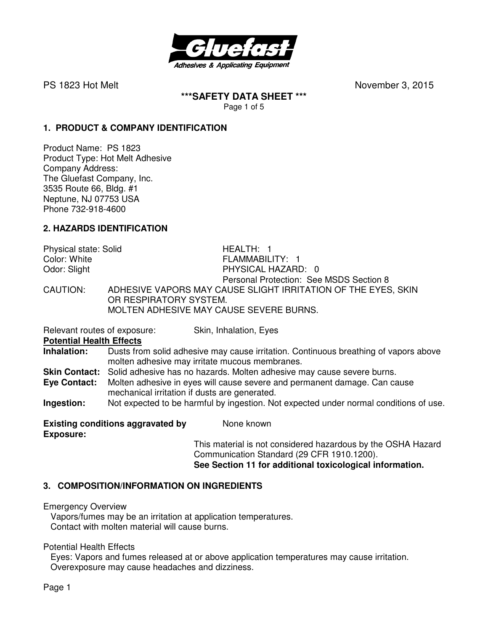

**\*\*\*SAFETY DATA SHEET \*\*\***  Page 1 of 5

### **1. PRODUCT & COMPANY IDENTIFICATION**

Product Name: PS 1823 Product Type: Hot Melt Adhesive Company Address: The Gluefast Company, Inc. 3535 Route 66, Bldg. #1 Neptune, NJ 07753 USA Phone 732-918-4600

### **2. HAZARDS IDENTIFICATION**

| Physical state: Solid | HEALTH: 1                                                     |
|-----------------------|---------------------------------------------------------------|
| Color: White          | FLAMMABILITY: 1                                               |
| Odor: Slight          | PHYSICAL HAZARD: 0                                            |
|                       | Personal Protection: See MSDS Section 8                       |
| CAUTION:              | ADHESIVE VAPORS MAY CAUSE SLIGHT IRRITATION OF THE EYES, SKIN |
|                       | OR RESPIRATORY SYSTEM.                                        |
|                       | MOLTEN ADHESIVE MAY CAUSE SEVERE BURNS.                       |

Relevant routes of exposure: Skin, Inhalation, Eyes

**Potential Health Effects** 

**Inhalation:** Dusts from solid adhesive may cause irritation. Continuous breathing of vapors above molten adhesive may irritate mucous membranes.

**Skin Contact:** Solid adhesive has no hazards. Molten adhesive may cause severe burns.

**Eye Contact:** Molten adhesive in eyes will cause severe and permanent damage. Can cause mechanical irritation if dusts are generated.

**Ingestion:** Not expected to be harmful by ingestion. Not expected under normal conditions of use.

**Existing conditions aggravated by Mone known Exposure:** 

This material is not considered hazardous by the OSHA Hazard Communication Standard (29 CFR 1910.1200). **See Section 11 for additional toxicological information.** 

## **3. COMPOSITION/INFORMATION ON INGREDIENTS**

Emergency Overview

Vapors/fumes may be an irritation at application temperatures. Contact with molten material will cause burns.

Potential Health Effects

 Eyes: Vapors and fumes released at or above application temperatures may cause irritation. Overexposure may cause headaches and dizziness.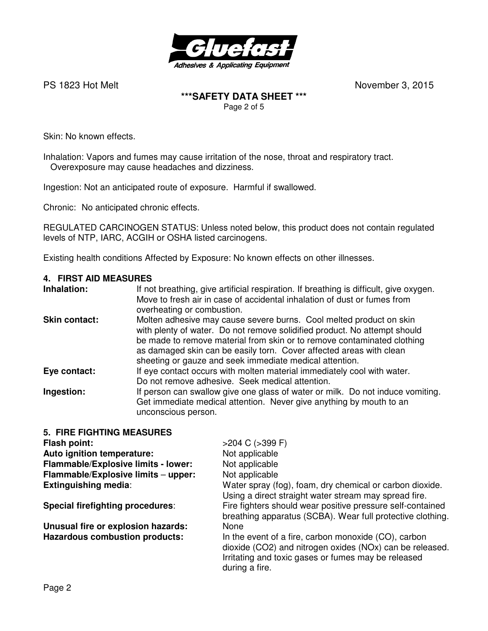

### **\*\*\*SAFETY DATA SHEET \*\*\***  Page 2 of 5

Skin: No known effects.

Inhalation: Vapors and fumes may cause irritation of the nose, throat and respiratory tract. Overexposure may cause headaches and dizziness.

Ingestion: Not an anticipated route of exposure. Harmful if swallowed.

Chronic: No anticipated chronic effects.

REGULATED CARCINOGEN STATUS: Unless noted below, this product does not contain regulated levels of NTP, IARC, ACGIH or OSHA listed carcinogens.

Existing health conditions Affected by Exposure: No known effects on other illnesses.

#### **4. FIRST AID MEASURES**

#### **5. FIRE FIGHTING MEASURES**

| Flash point:                          | $>204$ C ( $>399$ F)                                                                                                                                                                      |
|---------------------------------------|-------------------------------------------------------------------------------------------------------------------------------------------------------------------------------------------|
| Auto ignition temperature:            | Not applicable                                                                                                                                                                            |
| Flammable/Explosive limits - lower:   | Not applicable                                                                                                                                                                            |
| Flammable/Explosive limits - upper:   | Not applicable                                                                                                                                                                            |
| <b>Extinguishing media:</b>           | Water spray (fog), foam, dry chemical or carbon dioxide.<br>Using a direct straight water stream may spread fire.                                                                         |
| Special firefighting procedures:      | Fire fighters should wear positive pressure self-contained<br>breathing apparatus (SCBA). Wear full protective clothing.                                                                  |
| Unusual fire or explosion hazards:    | None                                                                                                                                                                                      |
| <b>Hazardous combustion products:</b> | In the event of a fire, carbon monoxide (CO), carbon<br>dioxide (CO2) and nitrogen oxides (NOx) can be released.<br>Irritating and toxic gases or fumes may be released<br>during a fire. |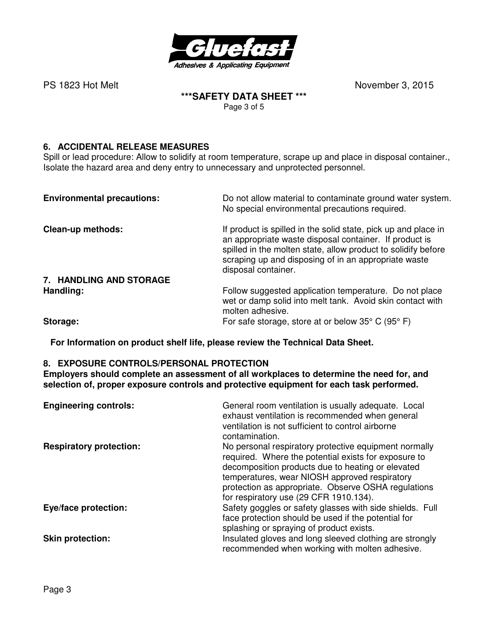

### **\*\*\*SAFETY DATA SHEET \*\*\***  Page 3 of 5

# **6. ACCIDENTAL RELEASE MEASURES**

Spill or lead procedure: Allow to solidify at room temperature, scrape up and place in disposal container., Isolate the hazard area and deny entry to unnecessary and unprotected personnel.

| <b>Environmental precautions:</b> | Do not allow material to contaminate ground water system.<br>No special environmental precautions required.                                                                                                                                                              |
|-----------------------------------|--------------------------------------------------------------------------------------------------------------------------------------------------------------------------------------------------------------------------------------------------------------------------|
| Clean-up methods:                 | If product is spilled in the solid state, pick up and place in<br>an appropriate waste disposal container. If product is<br>spilled in the molten state, allow product to solidify before<br>scraping up and disposing of in an appropriate waste<br>disposal container. |
| 7. HANDLING AND STORAGE           |                                                                                                                                                                                                                                                                          |
| Handling:                         | Follow suggested application temperature. Do not place<br>wet or damp solid into melt tank. Avoid skin contact with<br>molten adhesive.                                                                                                                                  |
| Storage:                          | For safe storage, store at or below $35^{\circ}$ C (95 $^{\circ}$ F)                                                                                                                                                                                                     |

**For Information on product shelf life, please review the Technical Data Sheet.**

### **8. EXPOSURE CONTROLS/PERSONAL PROTECTION**

**Employers should complete an assessment of all workplaces to determine the need for, and selection of, proper exposure controls and protective equipment for each task performed.** 

| <b>Engineering controls:</b>   | General room ventilation is usually adequate. Local<br>exhaust ventilation is recommended when general<br>ventilation is not sufficient to control airborne<br>contamination.                                                                                                                                        |
|--------------------------------|----------------------------------------------------------------------------------------------------------------------------------------------------------------------------------------------------------------------------------------------------------------------------------------------------------------------|
| <b>Respiratory protection:</b> | No personal respiratory protective equipment normally<br>required. Where the potential exists for exposure to<br>decomposition products due to heating or elevated<br>temperatures, wear NIOSH approved respiratory<br>protection as appropriate. Observe OSHA regulations<br>for respiratory use (29 CFR 1910.134). |
| Eye/face protection:           | Safety goggles or safety glasses with side shields. Full<br>face protection should be used if the potential for<br>splashing or spraying of product exists.                                                                                                                                                          |
| <b>Skin protection:</b>        | Insulated gloves and long sleeved clothing are strongly<br>recommended when working with molten adhesive.                                                                                                                                                                                                            |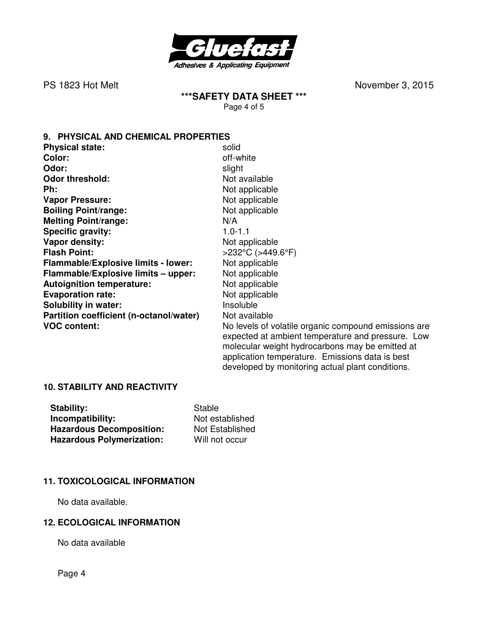

**\*\*\*SAFETY DATA SHEET \*\*\***  Page 4 of 5

**9. PHYSICAL AND CHEMICAL PROPERTIES** 

| <b>Physical state:</b>                  | solid                                                                                                                                                        |
|-----------------------------------------|--------------------------------------------------------------------------------------------------------------------------------------------------------------|
| Color:                                  | off-white                                                                                                                                                    |
| Odor:                                   | slight                                                                                                                                                       |
| <b>Odor threshold:</b>                  | Not available                                                                                                                                                |
| Ph:                                     | Not applicable                                                                                                                                               |
| <b>Vapor Pressure:</b>                  | Not applicable                                                                                                                                               |
| <b>Boiling Point/range:</b>             | Not applicable                                                                                                                                               |
| <b>Melting Point/range:</b>             | N/A                                                                                                                                                          |
| <b>Specific gravity:</b>                | $1.0 - 1.1$                                                                                                                                                  |
| Vapor density:                          | Not applicable                                                                                                                                               |
| <b>Flash Point:</b>                     | $>232^{\circ}$ C ( $>449.6^{\circ}$ F)                                                                                                                       |
| Flammable/Explosive limits - lower:     | Not applicable                                                                                                                                               |
| Flammable/Explosive limits - upper:     | Not applicable                                                                                                                                               |
| <b>Autoignition temperature:</b>        | Not applicable                                                                                                                                               |
| <b>Evaporation rate:</b>                | Not applicable                                                                                                                                               |
| <b>Solubility in water:</b>             | Insoluble                                                                                                                                                    |
| Partition coefficient (n-octanol/water) | Not available                                                                                                                                                |
| <b>VOC content:</b>                     | No levels of volatile organic compound emissions are<br>expected at ambient temperature and pressure. Low<br>molecular weight hydrocarbons may be emitted at |

application temperature. Emissions data is best developed by monitoring actual plant conditions.

#### **10. STABILITY AND REACTIVITY**

| Stability:                       | Stable          |
|----------------------------------|-----------------|
| Incompatibility:                 | Not established |
| <b>Hazardous Decomposition:</b>  | Not Established |
| <b>Hazardous Polymerization:</b> | Will not occur  |

### **11. TOXICOLOGICAL INFORMATION**

No data available.

#### **12. ECOLOGICAL INFORMATION**

No data available

Page 4